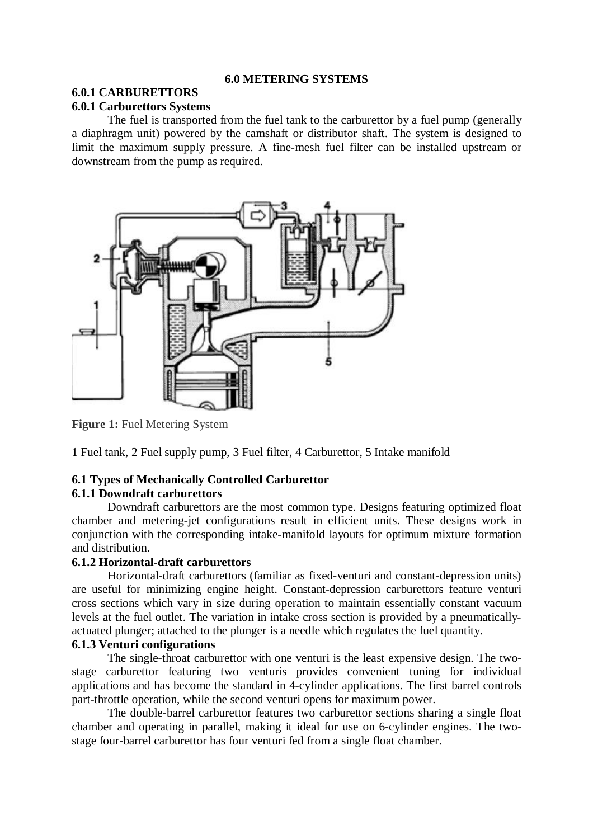### **6.0 METERING SYSTEMS**

# **6.0.1 CARBURETTORS**

## **6.0.1 Carburettors Systems**

The fuel is transported from the fuel tank to the carburettor by a fuel pump (generally a diaphragm unit) powered by the camshaft or distributor shaft. The system is designed to limit the maximum supply pressure. A fine-mesh fuel filter can be installed upstream or downstream from the pump as required.



**Figure 1:** Fuel Metering System

1 Fuel tank, 2 Fuel supply pump, 3 Fuel filter, 4 Carburettor, 5 Intake manifold

# **6.1 Types of Mechanically Controlled Carburettor**

## **6.1.1 Downdraft carburettors**

Downdraft carburettors are the most common type. Designs featuring optimized float chamber and metering-jet configurations result in efficient units. These designs work in conjunction with the corresponding intake-manifold layouts for optimum mixture formation and distribution.

## **6.1.2 Horizontal-draft carburettors**

Horizontal-draft carburettors (familiar as fixed-venturi and constant-depression units) are useful for minimizing engine height. Constant-depression carburettors feature venturi cross sections which vary in size during operation to maintain essentially constant vacuum levels at the fuel outlet. The variation in intake cross section is provided by a pneumaticallyactuated plunger; attached to the plunger is a needle which regulates the fuel quantity.

# **6.1.3 Venturi configurations**

The single-throat carburettor with one venturi is the least expensive design. The twostage carburettor featuring two venturis provides convenient tuning for individual applications and has become the standard in 4-cylinder applications. The first barrel controls part-throttle operation, while the second venturi opens for maximum power.

The double-barrel carburettor features two carburettor sections sharing a single float chamber and operating in parallel, making it ideal for use on 6-cylinder engines. The twostage four-barrel carburettor has four venturi fed from a single float chamber.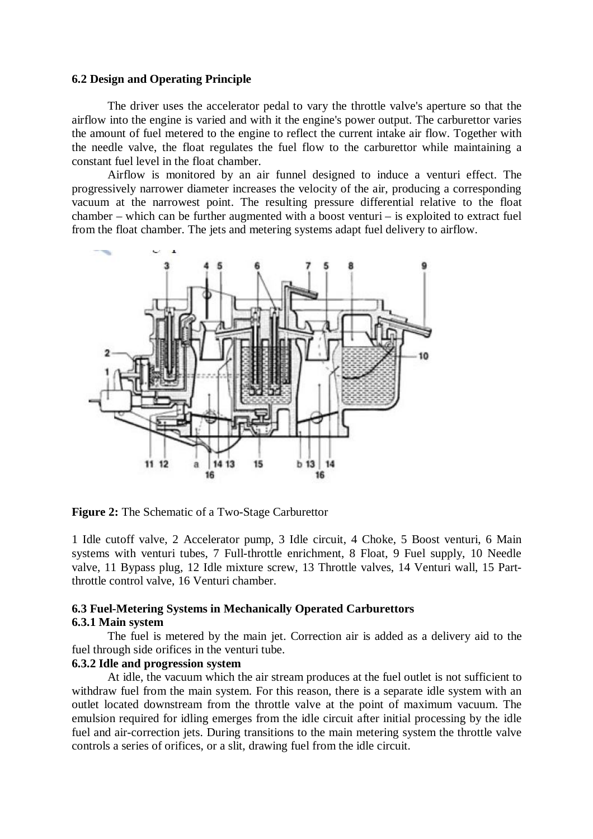#### **6.2 Design and Operating Principle**

The driver uses the accelerator pedal to vary the throttle valve's aperture so that the airflow into the engine is varied and with it the engine's power output. The carburettor varies the amount of fuel metered to the engine to reflect the current intake air flow. Together with the needle valve, the float regulates the fuel flow to the carburettor while maintaining a constant fuel level in the float chamber.

Airflow is monitored by an air funnel designed to induce a venturi effect. The progressively narrower diameter increases the velocity of the air, producing a corresponding vacuum at the narrowest point. The resulting pressure differential relative to the float chamber – which can be further augmented with a boost venturi – is exploited to extract fuel from the float chamber. The jets and metering systems adapt fuel delivery to airflow.



**Figure 2:** The Schematic of a Two-Stage Carburettor

1 Idle cutoff valve, 2 Accelerator pump, 3 Idle circuit, 4 Choke, 5 Boost venturi, 6 Main systems with venturi tubes, 7 Full-throttle enrichment, 8 Float, 9 Fuel supply, 10 Needle valve, 11 Bypass plug, 12 Idle mixture screw, 13 Throttle valves, 14 Venturi wall, 15 Partthrottle control valve, 16 Venturi chamber.

#### **6.3 Fuel-Metering Systems in Mechanically Operated Carburettors 6.3.1 Main system**

The fuel is metered by the main jet. Correction air is added as a delivery aid to the fuel through side orifices in the venturi tube.

## **6.3.2 Idle and progression system**

At idle, the vacuum which the air stream produces at the fuel outlet is not sufficient to withdraw fuel from the main system. For this reason, there is a separate idle system with an outlet located downstream from the throttle valve at the point of maximum vacuum. The emulsion required for idling emerges from the idle circuit after initial processing by the idle fuel and air-correction jets. During transitions to the main metering system the throttle valve controls a series of orifices, or a slit, drawing fuel from the idle circuit.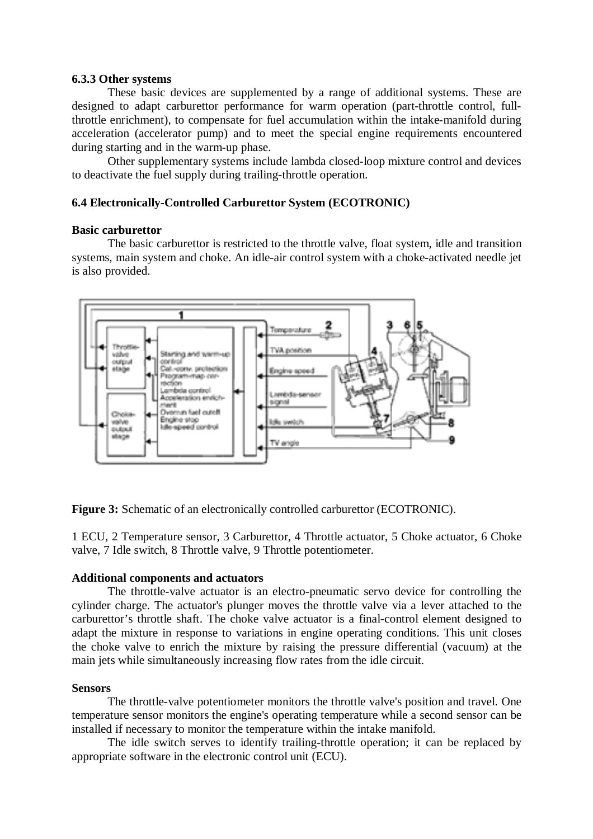#### **6.3.3 Other systems**

These basic devices are supplemented by a range of additional systems. These are designed to adapt carburettor performance for warm operation (part-throttle control, fullthrottle enrichment), to compensate for fuel accumulation within the intake-manifold during acceleration (accelerator pump) and to meet the special engine requirements encountered during starting and in the warm-up phase.

Other supplementary systems include lambda closed-loop mixture control and devices to deactivate the fuel supply during trailing-throttle operation.

## **6.4 Electronically-Controlled Carburettor System (ECOTRONIC)**

#### **Basic carburettor**

The basic carburettor is restricted to the throttle valve, float system, idle and transition systems, main system and choke. An idle-air control system with a choke-activated needle jet is also provided.



**Figure 3:** Schematic of an electronically controlled carburettor (ECOTRONIC).

1 ECU, 2 Temperature sensor, 3 Carburettor, 4 Throttle actuator, 5 Choke actuator, 6 Choke valve, 7 Idle switch, 8 Throttle valve, 9 Throttle potentiometer.

#### **Additional components and actuators**

The throttle-valve actuator is an electro-pneumatic servo device for controlling the cylinder charge. The actuator's plunger moves the throttle valve via a lever attached to the carburettor's throttle shaft. The choke valve actuator is a final-control element designed to adapt the mixture in response to variations in engine operating conditions. This unit closes the choke valve to enrich the mixture by raising the pressure differential (vacuum) at the main jets while simultaneously increasing flow rates from the idle circuit.

#### **Sensors**

The throttle-valve potentiometer monitors the throttle valve's position and travel. One temperature sensor monitors the engine's operating temperature while a second sensor can be installed if necessary to monitor the temperature within the intake manifold.

The idle switch serves to identify trailing-throttle operation; it can be replaced by appropriate software in the electronic control unit (ECU).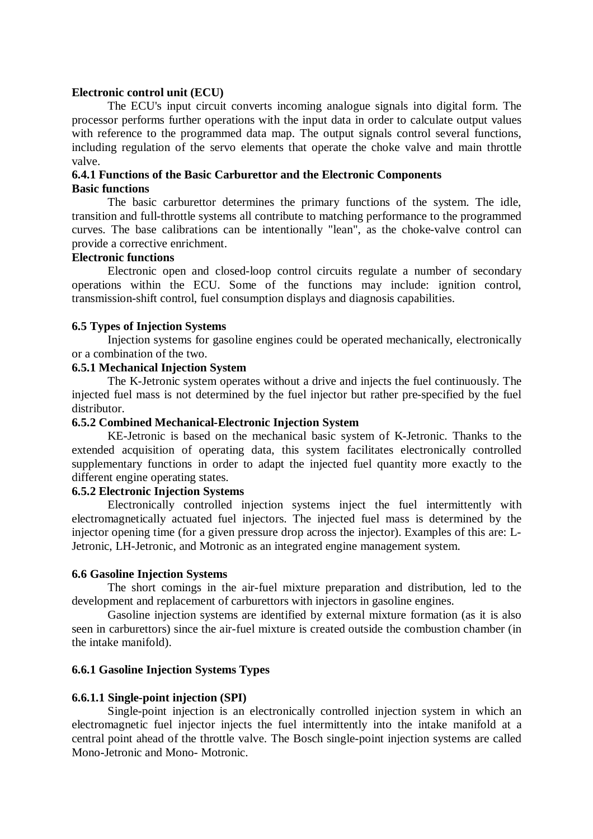#### **Electronic control unit (ECU)**

The ECU's input circuit converts incoming analogue signals into digital form. The processor performs further operations with the input data in order to calculate output values with reference to the programmed data map. The output signals control several functions, including regulation of the servo elements that operate the choke valve and main throttle valve.

#### **6.4.1 Functions of the Basic Carburettor and the Electronic Components Basic functions**

The basic carburettor determines the primary functions of the system. The idle, transition and full-throttle systems all contribute to matching performance to the programmed curves. The base calibrations can be intentionally "lean", as the choke-valve control can provide a corrective enrichment.

## **Electronic functions**

Electronic open and closed-loop control circuits regulate a number of secondary operations within the ECU. Some of the functions may include: ignition control, transmission-shift control, fuel consumption displays and diagnosis capabilities.

### **6.5 Types of Injection Systems**

Injection systems for gasoline engines could be operated mechanically, electronically or a combination of the two.

## **6.5.1 Mechanical Injection System**

The K-Jetronic system operates without a drive and injects the fuel continuously. The injected fuel mass is not determined by the fuel injector but rather pre-specified by the fuel distributor.

## **6.5.2 Combined Mechanical-Electronic Injection System**

KE-Jetronic is based on the mechanical basic system of K-Jetronic. Thanks to the extended acquisition of operating data, this system facilitates electronically controlled supplementary functions in order to adapt the injected fuel quantity more exactly to the different engine operating states.

## **6.5.2 Electronic Injection Systems**

Electronically controlled injection systems inject the fuel intermittently with electromagnetically actuated fuel injectors. The injected fuel mass is determined by the injector opening time (for a given pressure drop across the injector). Examples of this are: L-Jetronic, LH-Jetronic, and Motronic as an integrated engine management system.

## **6.6 Gasoline Injection Systems**

The short comings in the air-fuel mixture preparation and distribution, led to the development and replacement of carburettors with injectors in gasoline engines.

Gasoline injection systems are identified by external mixture formation (as it is also seen in carburettors) since the air-fuel mixture is created outside the combustion chamber (in the intake manifold).

## **6.6.1 Gasoline Injection Systems Types**

#### **6.6.1.1 Single-point injection (SPI)**

Single-point injection is an electronically controlled injection system in which an electromagnetic fuel injector injects the fuel intermittently into the intake manifold at a central point ahead of the throttle valve. The Bosch single-point injection systems are called Mono-Jetronic and Mono- Motronic.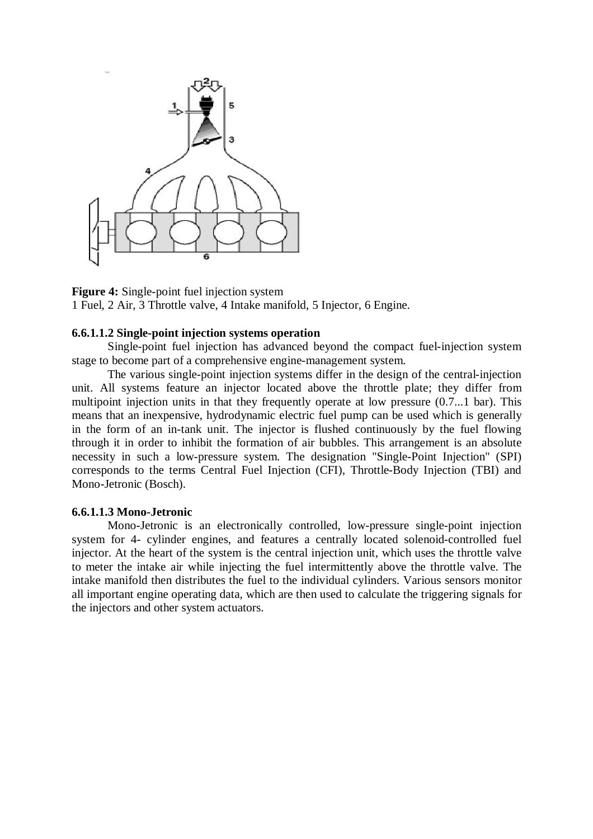

**Figure 4:** Single-point fuel injection system 1 Fuel, 2 Air, 3 Throttle valve, 4 Intake manifold, 5 Injector, 6 Engine.

#### **6.6.1.1.2 Single-point injection systems operation**

Single-point fuel injection has advanced beyond the compact fuel-injection system stage to become part of a comprehensive engine-management system.

The various single-point injection systems differ in the design of the central-injection unit. All systems feature an injector located above the throttle plate; they differ from multipoint injection units in that they frequently operate at low pressure (0.7...1 bar). This means that an inexpensive, hydrodynamic electric fuel pump can be used which is generally in the form of an in-tank unit. The injector is flushed continuously by the fuel flowing through it in order to inhibit the formation of air bubbles. This arrangement is an absolute necessity in such a low-pressure system. The designation "Single-Point Injection" (SPI) corresponds to the terms Central Fuel Injection (CFI), Throttle-Body Injection (TBI) and Mono-Jetronic (Bosch).

#### **6.6.1.1.3 Mono-Jetronic**

Mono-Jetronic is an electronically controlled, low-pressure single-point injection system for 4- cylinder engines, and features a centrally located solenoid-controlled fuel injector. At the heart of the system is the central injection unit, which uses the throttle valve to meter the intake air while injecting the fuel intermittently above the throttle valve. The intake manifold then distributes the fuel to the individual cylinders. Various sensors monitor all important engine operating data, which are then used to calculate the triggering signals for the injectors and other system actuators.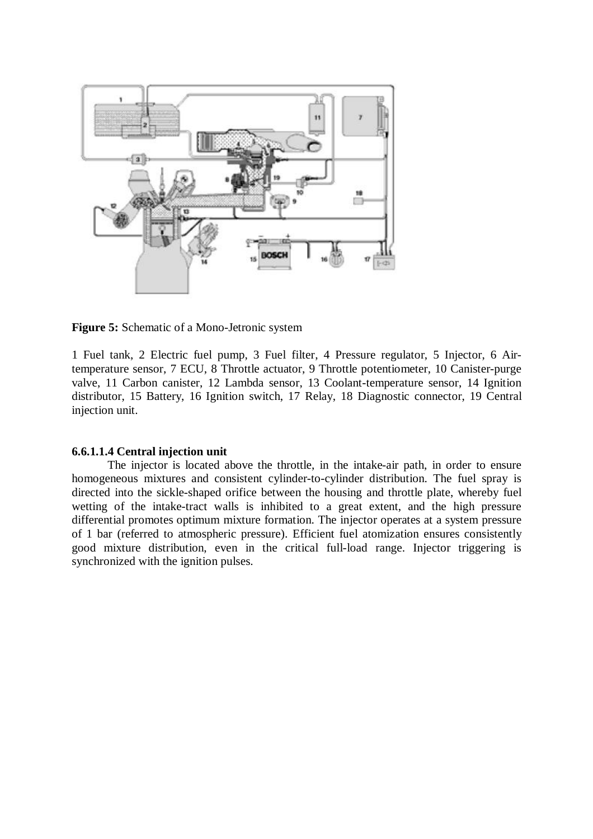

**Figure 5:** Schematic of a Mono-Jetronic system

1 Fuel tank, 2 Electric fuel pump, 3 Fuel filter, 4 Pressure regulator, 5 Injector, 6 Airtemperature sensor, 7 ECU, 8 Throttle actuator, 9 Throttle potentiometer, 10 Canister-purge valve, 11 Carbon canister, 12 Lambda sensor, 13 Coolant-temperature sensor, 14 Ignition distributor, 15 Battery, 16 Ignition switch, 17 Relay, 18 Diagnostic connector, 19 Central injection unit.

## **6.6.1.1.4 Central injection unit**

The injector is located above the throttle, in the intake-air path, in order to ensure homogeneous mixtures and consistent cylinder-to-cylinder distribution. The fuel spray is directed into the sickle-shaped orifice between the housing and throttle plate, whereby fuel wetting of the intake-tract walls is inhibited to a great extent, and the high pressure differential promotes optimum mixture formation. The injector operates at a system pressure of 1 bar (referred to atmospheric pressure). Efficient fuel atomization ensures consistently good mixture distribution, even in the critical full-load range. Injector triggering is synchronized with the ignition pulses.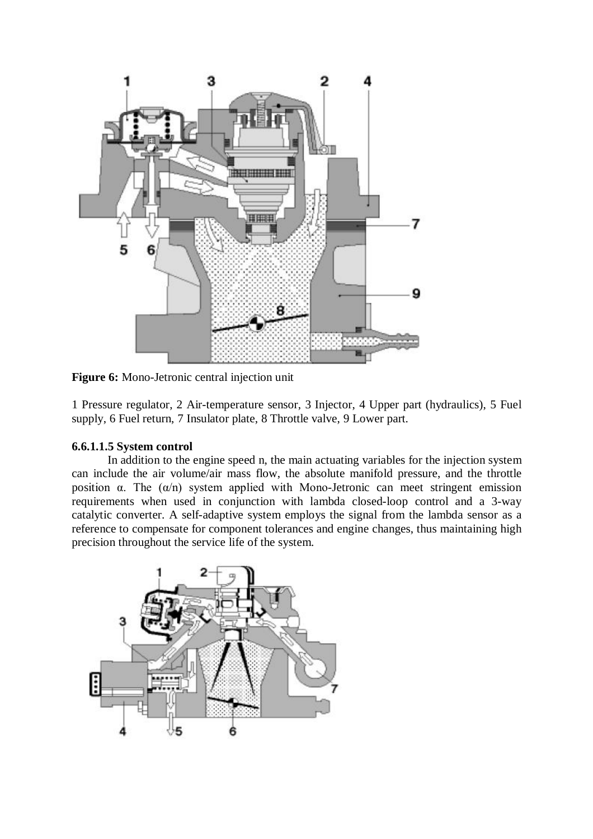

**Figure 6:** Mono-Jetronic central injection unit

1 Pressure regulator, 2 Air-temperature sensor, 3 Injector, 4 Upper part (hydraulics), 5 Fuel supply, 6 Fuel return, 7 Insulator plate, 8 Throttle valve, 9 Lower part.

# **6.6.1.1.5 System control**

In addition to the engine speed n, the main actuating variables for the injection system can include the air volume/air mass flow, the absolute manifold pressure, and the throttle position α. The  $(α/n)$  system applied with Mono-Jetronic can meet stringent emission requirements when used in conjunction with lambda closed-loop control and a 3-way catalytic converter. A self-adaptive system employs the signal from the lambda sensor as a reference to compensate for component tolerances and engine changes, thus maintaining high precision throughout the service life of the system.

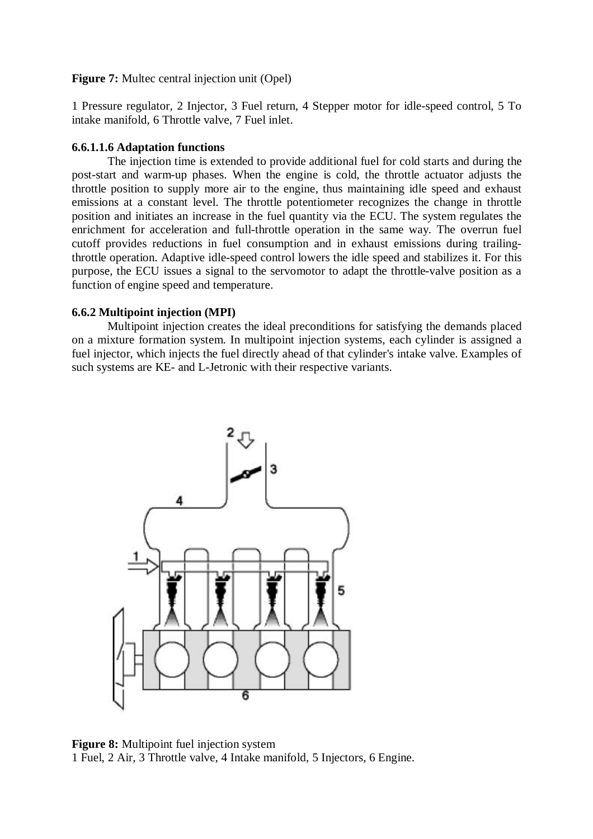### **Figure 7:** Multec central injection unit (Opel)

1 Pressure regulator, 2 Injector, 3 Fuel return, 4 Stepper motor for idle-speed control, 5 To intake manifold, 6 Throttle valve, 7 Fuel inlet.

#### **6.6.1.1.6 Adaptation functions**

The injection time is extended to provide additional fuel for cold starts and during the post-start and warm-up phases. When the engine is cold, the throttle actuator adjusts the throttle position to supply more air to the engine, thus maintaining idle speed and exhaust emissions at a constant level. The throttle potentiometer recognizes the change in throttle position and initiates an increase in the fuel quantity via the ECU. The system regulates the enrichment for acceleration and full-throttle operation in the same way. The overrun fuel cutoff provides reductions in fuel consumption and in exhaust emissions during trailingthrottle operation. Adaptive idle-speed control lowers the idle speed and stabilizes it. For this purpose, the ECU issues a signal to the servomotor to adapt the throttle-valve position as a function of engine speed and temperature.

### **6.6.2 Multipoint injection (MPI)**

Multipoint injection creates the ideal preconditions for satisfying the demands placed on a mixture formation system. In multipoint injection systems, each cylinder is assigned a fuel injector, which injects the fuel directly ahead of that cylinder's intake valve. Examples of such systems are KE- and L-Jetronic with their respective variants.



**Figure 8:** Multipoint fuel injection system 1 Fuel, 2 Air, 3 Throttle valve, 4 Intake manifold, 5 Injectors, 6 Engine.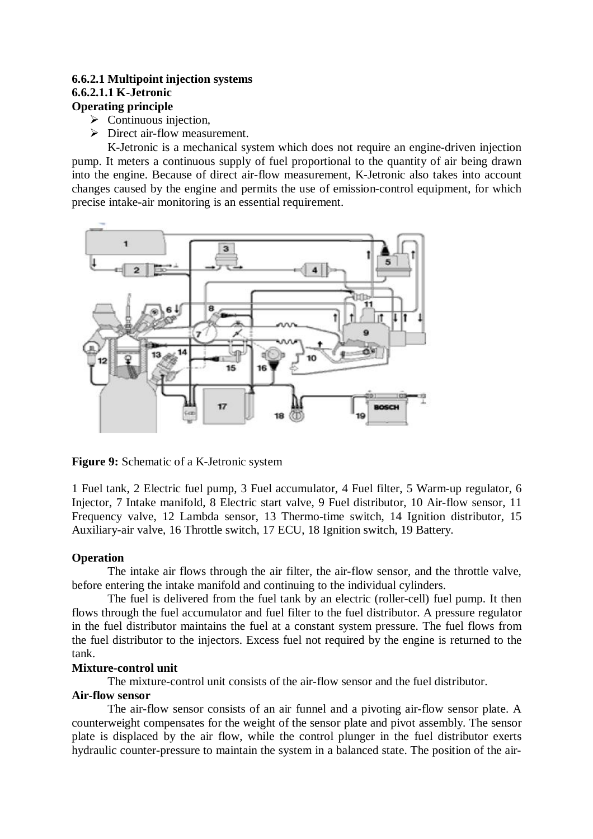## **6.6.2.1 Multipoint injection systems 6.6.2.1.1 K-Jetronic Operating principle**

# $\triangleright$  Continuous injection,

 $\triangleright$  Direct air-flow measurement.

K-Jetronic is a mechanical system which does not require an engine-driven injection pump. It meters a continuous supply of fuel proportional to the quantity of air being drawn into the engine. Because of direct air-flow measurement, K-Jetronic also takes into account changes caused by the engine and permits the use of emission-control equipment, for which precise intake-air monitoring is an essential requirement.



**Figure 9:** Schematic of a K-Jetronic system

1 Fuel tank, 2 Electric fuel pump, 3 Fuel accumulator, 4 Fuel filter, 5 Warm-up regulator, 6 Injector, 7 Intake manifold, 8 Electric start valve, 9 Fuel distributor, 10 Air-flow sensor, 11 Frequency valve, 12 Lambda sensor, 13 Thermo-time switch, 14 Ignition distributor, 15 Auxiliary-air valve, 16 Throttle switch, 17 ECU, 18 Ignition switch, 19 Battery.

# **Operation**

The intake air flows through the air filter, the air-flow sensor, and the throttle valve, before entering the intake manifold and continuing to the individual cylinders.

The fuel is delivered from the fuel tank by an electric (roller-cell) fuel pump. It then flows through the fuel accumulator and fuel filter to the fuel distributor. A pressure regulator in the fuel distributor maintains the fuel at a constant system pressure. The fuel flows from the fuel distributor to the injectors. Excess fuel not required by the engine is returned to the tank.

## **Mixture-control unit**

The mixture-control unit consists of the air-flow sensor and the fuel distributor.

## **Air-flow sensor**

The air-flow sensor consists of an air funnel and a pivoting air-flow sensor plate. A counterweight compensates for the weight of the sensor plate and pivot assembly. The sensor plate is displaced by the air flow, while the control plunger in the fuel distributor exerts hydraulic counter-pressure to maintain the system in a balanced state. The position of the air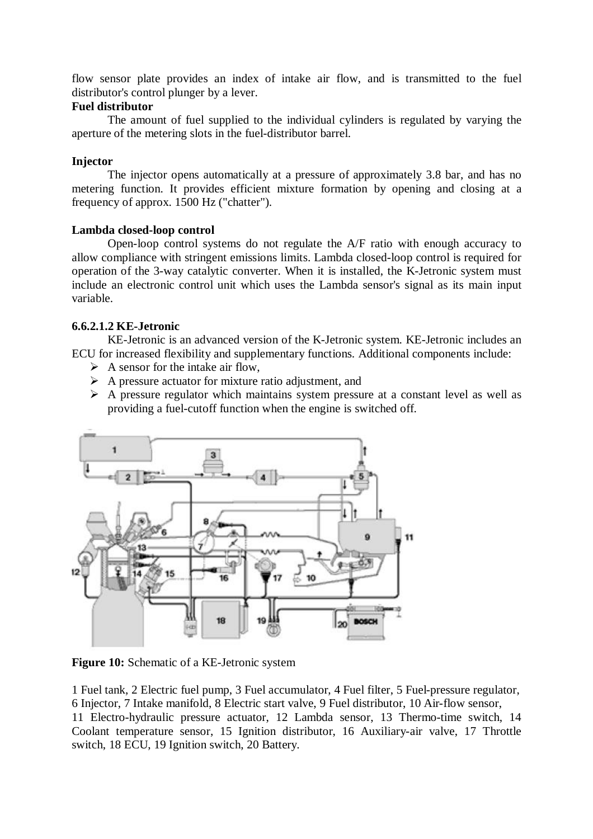flow sensor plate provides an index of intake air flow, and is transmitted to the fuel distributor's control plunger by a lever.

# **Fuel distributor**

The amount of fuel supplied to the individual cylinders is regulated by varying the aperture of the metering slots in the fuel-distributor barrel.

## **Injector**

The injector opens automatically at a pressure of approximately 3.8 bar, and has no metering function. It provides efficient mixture formation by opening and closing at a frequency of approx. 1500 Hz ("chatter").

### **Lambda closed-loop control**

Open-loop control systems do not regulate the A/F ratio with enough accuracy to allow compliance with stringent emissions limits. Lambda closed-loop control is required for operation of the 3-way catalytic converter. When it is installed, the K-Jetronic system must include an electronic control unit which uses the Lambda sensor's signal as its main input variable.

## **6.6.2.1.2 KE-Jetronic**

KE-Jetronic is an advanced version of the K-Jetronic system. KE-Jetronic includes an ECU for increased flexibility and supplementary functions. Additional components include:

- $\triangleright$  A sensor for the intake air flow,
- $\triangleright$  A pressure actuator for mixture ratio adjustment, and
- $\triangleright$  A pressure regulator which maintains system pressure at a constant level as well as providing a fuel-cutoff function when the engine is switched off.



**Figure 10:** Schematic of a KE-Jetronic system

1 Fuel tank, 2 Electric fuel pump, 3 Fuel accumulator, 4 Fuel filter, 5 Fuel-pressure regulator, 6 Injector, 7 Intake manifold, 8 Electric start valve, 9 Fuel distributor, 10 Air-flow sensor, 11 Electro-hydraulic pressure actuator, 12 Lambda sensor, 13 Thermo-time switch, 14 Coolant temperature sensor, 15 Ignition distributor, 16 Auxiliary-air valve, 17 Throttle switch, 18 ECU, 19 Ignition switch, 20 Battery.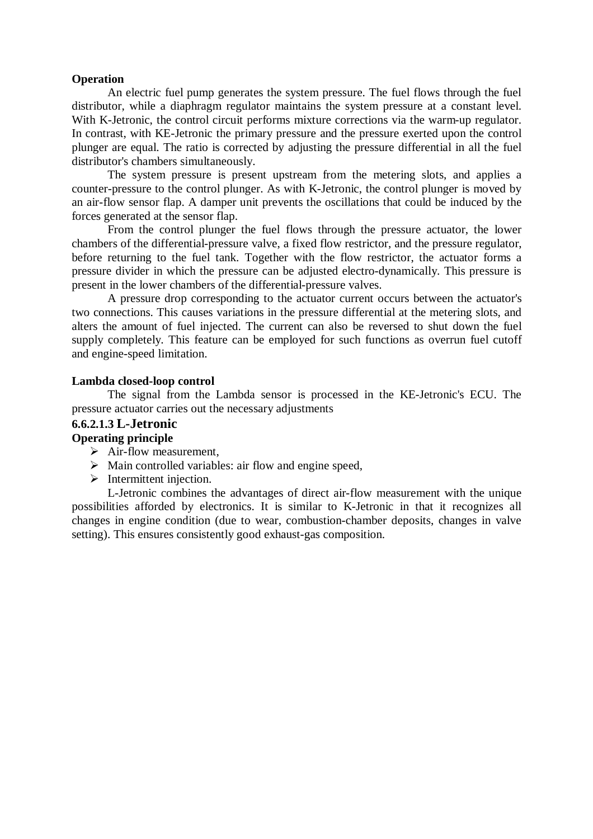## **Operation**

An electric fuel pump generates the system pressure. The fuel flows through the fuel distributor, while a diaphragm regulator maintains the system pressure at a constant level. With K-Jetronic, the control circuit performs mixture corrections via the warm-up regulator. In contrast, with KE-Jetronic the primary pressure and the pressure exerted upon the control plunger are equal. The ratio is corrected by adjusting the pressure differential in all the fuel distributor's chambers simultaneously.

The system pressure is present upstream from the metering slots, and applies a counter-pressure to the control plunger. As with K-Jetronic, the control plunger is moved by an air-flow sensor flap. A damper unit prevents the oscillations that could be induced by the forces generated at the sensor flap.

From the control plunger the fuel flows through the pressure actuator, the lower chambers of the differential-pressure valve, a fixed flow restrictor, and the pressure regulator, before returning to the fuel tank. Together with the flow restrictor, the actuator forms a pressure divider in which the pressure can be adjusted electro-dynamically. This pressure is present in the lower chambers of the differential-pressure valves.

A pressure drop corresponding to the actuator current occurs between the actuator's two connections. This causes variations in the pressure differential at the metering slots, and alters the amount of fuel injected. The current can also be reversed to shut down the fuel supply completely. This feature can be employed for such functions as overrun fuel cutoff and engine-speed limitation.

### **Lambda closed-loop control**

The signal from the Lambda sensor is processed in the KE-Jetronic's ECU. The pressure actuator carries out the necessary adjustments

## **6.6.2.1.3 L-Jetronic**

#### **Operating principle**

- $\triangleright$  Air-flow measurement,
- $\triangleright$  Main controlled variables: air flow and engine speed,
- $\triangleright$  Intermittent injection.

L-Jetronic combines the advantages of direct air-flow measurement with the unique possibilities afforded by electronics. It is similar to K-Jetronic in that it recognizes all changes in engine condition (due to wear, combustion-chamber deposits, changes in valve setting). This ensures consistently good exhaust-gas composition.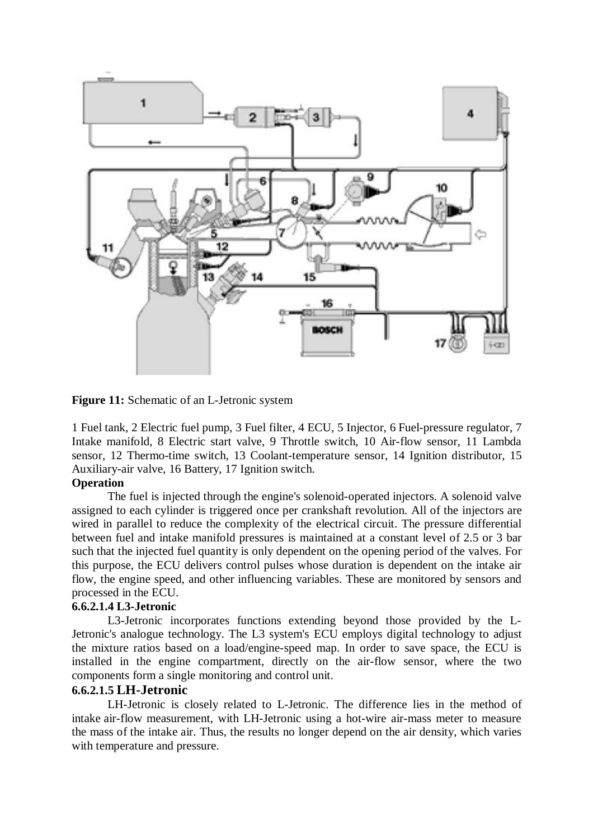

**Figure 11:** Schematic of an L-Jetronic system

1 Fuel tank, 2 Electric fuel pump, 3 Fuel filter, 4 ECU, 5 Injector, 6 Fuel-pressure regulator, 7 Intake manifold, 8 Electric start valve, 9 Throttle switch, 10 Air-flow sensor, 11 Lambda sensor, 12 Thermo-time switch, 13 Coolant-temperature sensor, 14 Ignition distributor, 15 Auxiliary-air valve, 16 Battery, 17 Ignition switch.

## **Operation**

The fuel is injected through the engine's solenoid-operated injectors. A solenoid valve assigned to each cylinder is triggered once per crankshaft revolution. All of the injectors are wired in parallel to reduce the complexity of the electrical circuit. The pressure differential between fuel and intake manifold pressures is maintained at a constant level of 2.5 or 3 bar such that the injected fuel quantity is only dependent on the opening period of the valves. For this purpose, the ECU delivers control pulses whose duration is dependent on the intake air flow, the engine speed, and other influencing variables. These are monitored by sensors and processed in the ECU.

## **6.6.2.1.4 L3-Jetronic**

L3-Jetronic incorporates functions extending beyond those provided by the L-Jetronic's analogue technology. The L3 system's ECU employs digital technology to adjust the mixture ratios based on a load/engine-speed map. In order to save space, the ECU is installed in the engine compartment, directly on the air-flow sensor, where the two components form a single monitoring and control unit.

#### **6.6.2.1.5 LH-Jetronic**

LH-Jetronic is closely related to L-Jetronic. The difference lies in the method of intake air-flow measurement, with LH-Jetronic using a hot-wire air-mass meter to measure the mass of the intake air. Thus, the results no longer depend on the air density, which varies with temperature and pressure.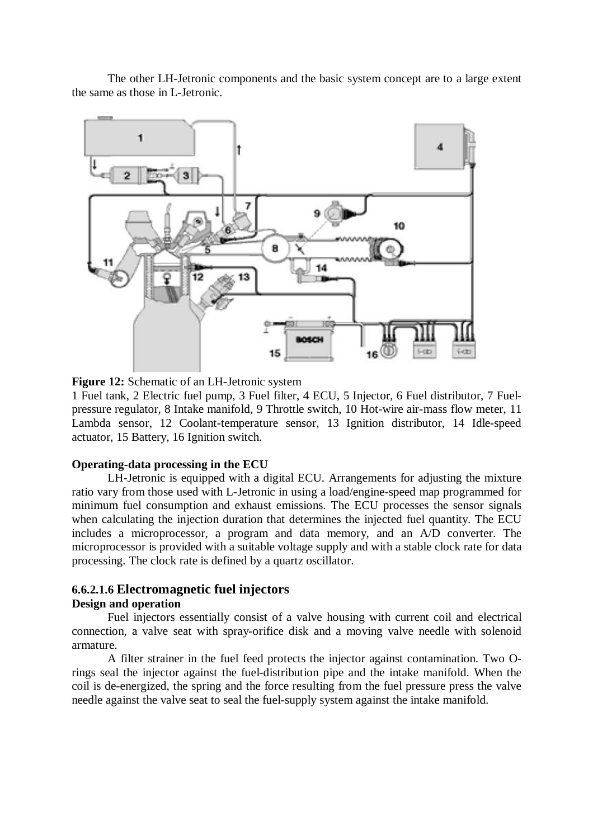The other LH-Jetronic components and the basic system concept are to a large extent the same as those in L-Jetronic.



**Figure 12:** Schematic of an LH-Jetronic system

1 Fuel tank, 2 Electric fuel pump, 3 Fuel filter, 4 ECU, 5 Injector, 6 Fuel distributor, 7 Fuelpressure regulator, 8 Intake manifold, 9 Throttle switch, 10 Hot-wire air-mass flow meter, 11 Lambda sensor, 12 Coolant-temperature sensor, 13 Ignition distributor, 14 Idle-speed actuator, 15 Battery, 16 Ignition switch.

#### **Operating-data processing in the ECU**

LH-Jetronic is equipped with a digital ECU. Arrangements for adjusting the mixture ratio vary from those used with L-Jetronic in using a load/engine-speed map programmed for minimum fuel consumption and exhaust emissions. The ECU processes the sensor signals when calculating the injection duration that determines the injected fuel quantity. The ECU includes a microprocessor, a program and data memory, and an A/D converter. The microprocessor is provided with a suitable voltage supply and with a stable clock rate for data processing. The clock rate is defined by a quartz oscillator.

# **6.6.2.1.6 Electromagnetic fuel injectors**

# **Design and operation**

Fuel injectors essentially consist of a valve housing with current coil and electrical connection, a valve seat with spray-orifice disk and a moving valve needle with solenoid armature.

A filter strainer in the fuel feed protects the injector against contamination. Two Orings seal the injector against the fuel-distribution pipe and the intake manifold. When the coil is de-energized, the spring and the force resulting from the fuel pressure press the valve needle against the valve seat to seal the fuel-supply system against the intake manifold.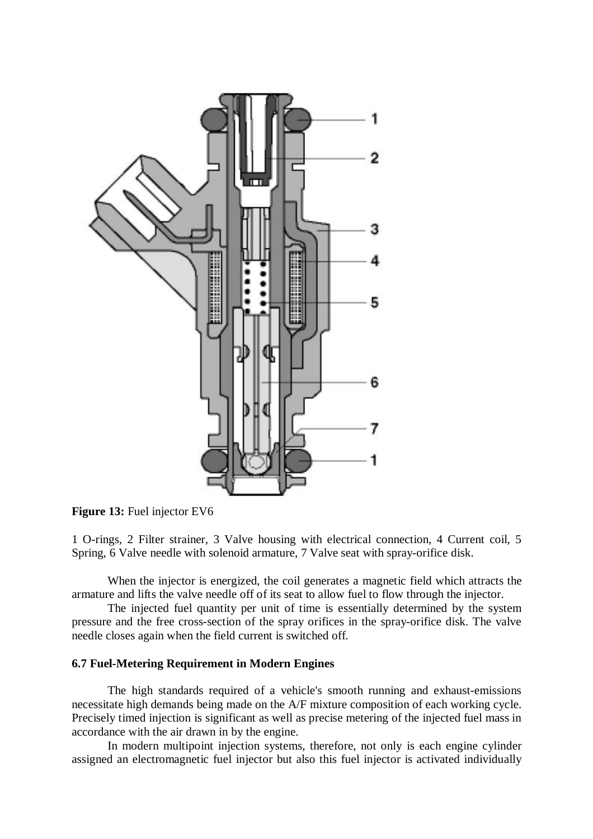

**Figure 13:** Fuel injector EV6

1 O-rings, 2 Filter strainer, 3 Valve housing with electrical connection, 4 Current coil, 5 Spring, 6 Valve needle with solenoid armature, 7 Valve seat with spray-orifice disk.

When the injector is energized, the coil generates a magnetic field which attracts the armature and lifts the valve needle off of its seat to allow fuel to flow through the injector.

The injected fuel quantity per unit of time is essentially determined by the system pressure and the free cross-section of the spray orifices in the spray-orifice disk. The valve needle closes again when the field current is switched off.

#### **6.7 Fuel-Metering Requirement in Modern Engines**

The high standards required of a vehicle's smooth running and exhaust-emissions necessitate high demands being made on the A/F mixture composition of each working cycle. Precisely timed injection is significant as well as precise metering of the injected fuel mass in accordance with the air drawn in by the engine.

In modern multipoint injection systems, therefore, not only is each engine cylinder assigned an electromagnetic fuel injector but also this fuel injector is activated individually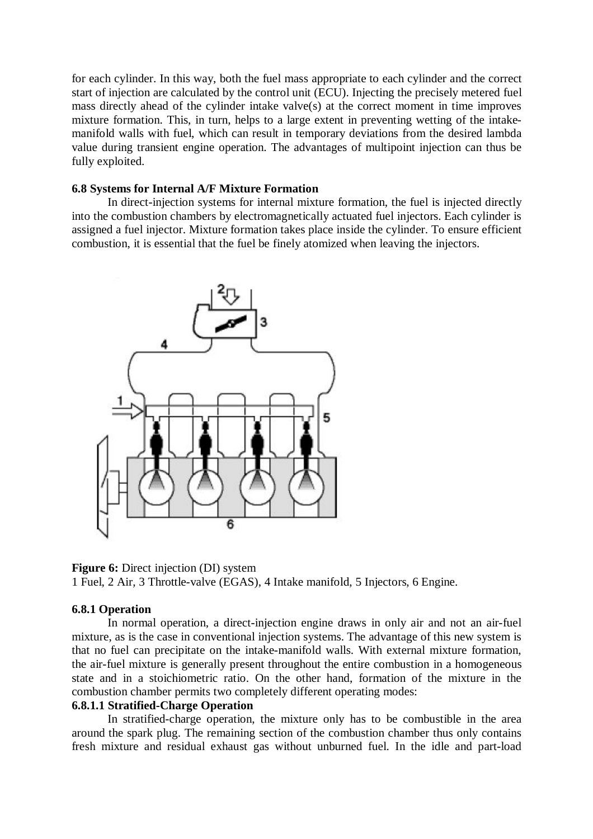for each cylinder. In this way, both the fuel mass appropriate to each cylinder and the correct start of injection are calculated by the control unit (ECU). Injecting the precisely metered fuel mass directly ahead of the cylinder intake valve(s) at the correct moment in time improves mixture formation. This, in turn, helps to a large extent in preventing wetting of the intakemanifold walls with fuel, which can result in temporary deviations from the desired lambda value during transient engine operation. The advantages of multipoint injection can thus be fully exploited.

#### **6.8 Systems for Internal A/F Mixture Formation**

In direct-injection systems for internal mixture formation, the fuel is injected directly into the combustion chambers by electromagnetically actuated fuel injectors. Each cylinder is assigned a fuel injector. Mixture formation takes place inside the cylinder. To ensure efficient combustion, it is essential that the fuel be finely atomized when leaving the injectors.



**Figure 6:** Direct injection (DI) system 1 Fuel, 2 Air, 3 Throttle-valve (EGAS), 4 Intake manifold, 5 Injectors, 6 Engine.

#### **6.8.1 Operation**

In normal operation, a direct-injection engine draws in only air and not an air-fuel mixture, as is the case in conventional injection systems. The advantage of this new system is that no fuel can precipitate on the intake-manifold walls. With external mixture formation, the air-fuel mixture is generally present throughout the entire combustion in a homogeneous state and in a stoichiometric ratio. On the other hand, formation of the mixture in the combustion chamber permits two completely different operating modes:

### **6.8.1.1 Stratified-Charge Operation**

In stratified-charge operation, the mixture only has to be combustible in the area around the spark plug. The remaining section of the combustion chamber thus only contains fresh mixture and residual exhaust gas without unburned fuel. In the idle and part-load